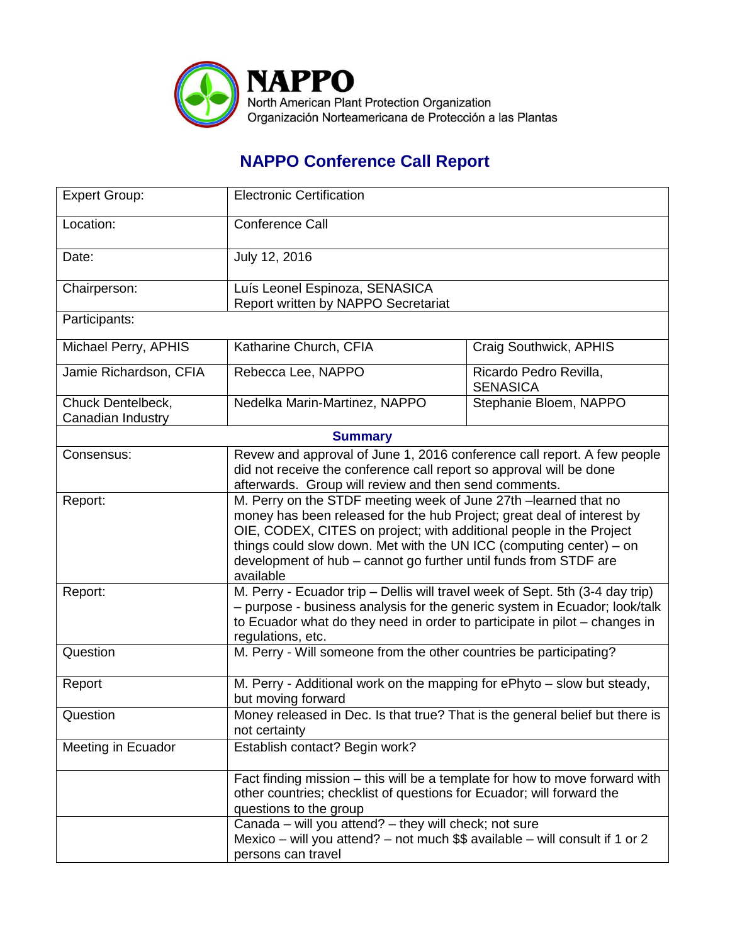

## **NAPPO Conference Call Report**

| <b>Expert Group:</b>                   | <b>Electronic Certification</b>                                                                                                                                                                                                                                                                                                                                          |                                           |  |
|----------------------------------------|--------------------------------------------------------------------------------------------------------------------------------------------------------------------------------------------------------------------------------------------------------------------------------------------------------------------------------------------------------------------------|-------------------------------------------|--|
| Location:                              | <b>Conference Call</b>                                                                                                                                                                                                                                                                                                                                                   |                                           |  |
| Date:                                  | July 12, 2016                                                                                                                                                                                                                                                                                                                                                            |                                           |  |
| Chairperson:                           | Luís Leonel Espinoza, SENASICA<br>Report written by NAPPO Secretariat                                                                                                                                                                                                                                                                                                    |                                           |  |
| Participants:                          |                                                                                                                                                                                                                                                                                                                                                                          |                                           |  |
| Michael Perry, APHIS                   | Katharine Church, CFIA                                                                                                                                                                                                                                                                                                                                                   | Craig Southwick, APHIS                    |  |
| Jamie Richardson, CFIA                 | Rebecca Lee, NAPPO                                                                                                                                                                                                                                                                                                                                                       | Ricardo Pedro Revilla,<br><b>SENASICA</b> |  |
| Chuck Dentelbeck,<br>Canadian Industry | Nedelka Marin-Martinez, NAPPO                                                                                                                                                                                                                                                                                                                                            | Stephanie Bloem, NAPPO                    |  |
| <b>Summary</b>                         |                                                                                                                                                                                                                                                                                                                                                                          |                                           |  |
| Consensus:                             | Revew and approval of June 1, 2016 conference call report. A few people<br>did not receive the conference call report so approval will be done<br>afterwards. Group will review and then send comments.                                                                                                                                                                  |                                           |  |
| Report:                                | M. Perry on the STDF meeting week of June 27th -learned that no<br>money has been released for the hub Project; great deal of interest by<br>OIE, CODEX, CITES on project; with additional people in the Project<br>things could slow down. Met with the UN ICC (computing center) – on<br>development of hub - cannot go further until funds from STDF are<br>available |                                           |  |
| Report:                                | M. Perry - Ecuador trip – Dellis will travel week of Sept. 5th (3-4 day trip)<br>- purpose - business analysis for the generic system in Ecuador; look/talk<br>to Ecuador what do they need in order to participate in pilot - changes in<br>regulations, etc.                                                                                                           |                                           |  |
| Question                               | M. Perry - Will someone from the other countries be participating?                                                                                                                                                                                                                                                                                                       |                                           |  |
| Report                                 | M. Perry - Additional work on the mapping for ePhyto - slow but steady,<br>but moving forward                                                                                                                                                                                                                                                                            |                                           |  |
| Question                               | Money released in Dec. Is that true? That is the general belief but there is<br>not certainty                                                                                                                                                                                                                                                                            |                                           |  |
| Meeting in Ecuador                     | Establish contact? Begin work?                                                                                                                                                                                                                                                                                                                                           |                                           |  |
|                                        | Fact finding mission – this will be a template for how to move forward with<br>other countries; checklist of questions for Ecuador; will forward the<br>questions to the group                                                                                                                                                                                           |                                           |  |
|                                        | Canada - will you attend? - they will check; not sure<br>Mexico – will you attend? – not much $$$$ available – will consult if 1 or 2<br>persons can travel                                                                                                                                                                                                              |                                           |  |